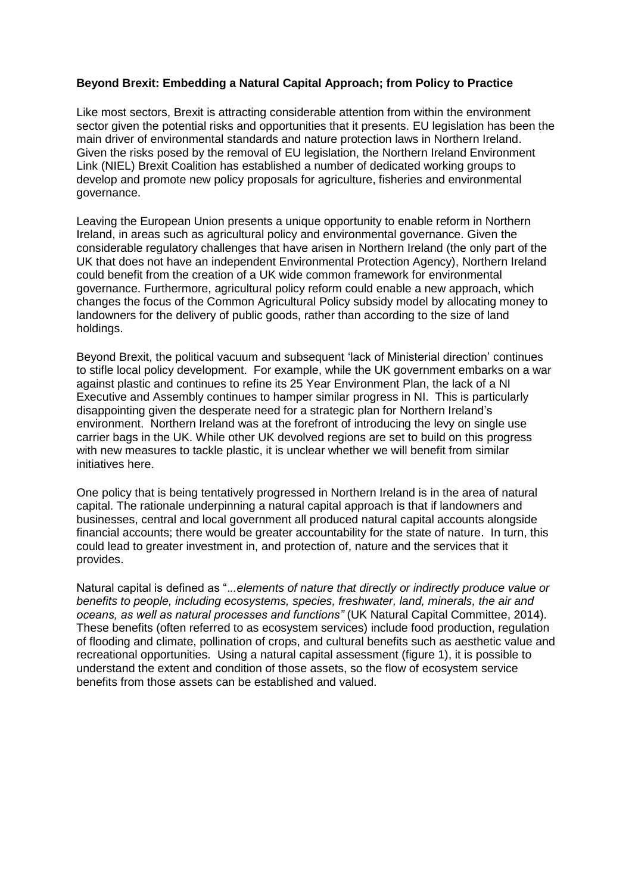## **Beyond Brexit: Embedding a Natural Capital Approach; from Policy to Practice**

Like most sectors, Brexit is attracting considerable attention from within the environment sector given the potential risks and opportunities that it presents. EU legislation has been the main driver of environmental standards and nature protection laws in Northern Ireland. Given the risks posed by the removal of EU legislation, the Northern Ireland Environment Link (NIEL) Brexit Coalition has established a number of dedicated working groups to develop and promote new policy proposals for agriculture, fisheries and environmental governance.

Leaving the European Union presents a unique opportunity to enable reform in Northern Ireland, in areas such as agricultural policy and environmental governance. Given the considerable regulatory challenges that have arisen in Northern Ireland (the only part of the UK that does not have an independent Environmental Protection Agency), Northern Ireland could benefit from the creation of a UK wide common framework for environmental governance. Furthermore, agricultural policy reform could enable a new approach, which changes the focus of the Common Agricultural Policy subsidy model by allocating money to landowners for the delivery of public goods, rather than according to the size of land holdings.

Beyond Brexit, the political vacuum and subsequent 'lack of Ministerial direction' continues to stifle local policy development. For example, while the UK government embarks on a war against plastic and continues to refine its 25 Year Environment Plan, the lack of a NI Executive and Assembly continues to hamper similar progress in NI. This is particularly disappointing given the desperate need for a strategic plan for Northern Ireland's environment. Northern Ireland was at the forefront of introducing the levy on single use carrier bags in the UK. While other UK devolved regions are set to build on this progress with new measures to tackle plastic, it is unclear whether we will benefit from similar initiatives here.

One policy that is being tentatively progressed in Northern Ireland is in the area of natural capital. The rationale underpinning a natural capital approach is that if landowners and businesses, central and local government all produced natural capital accounts alongside financial accounts; there would be greater accountability for the state of nature. In turn, this could lead to greater investment in, and protection of, nature and the services that it provides.

Natural capital is defined as ".*..elements of nature that directly or indirectly produce value or benefits to people, including ecosystems, species, freshwater, land, minerals, the air and oceans, as well as natural processes and functions"* (UK Natural Capital Committee, 2014). These benefits (often referred to as ecosystem services) include food production, regulation of flooding and climate, pollination of crops, and cultural benefits such as aesthetic value and recreational opportunities. Using a natural capital assessment (figure 1), it is possible to understand the extent and condition of those assets, so the flow of ecosystem service benefits from those assets can be established and valued.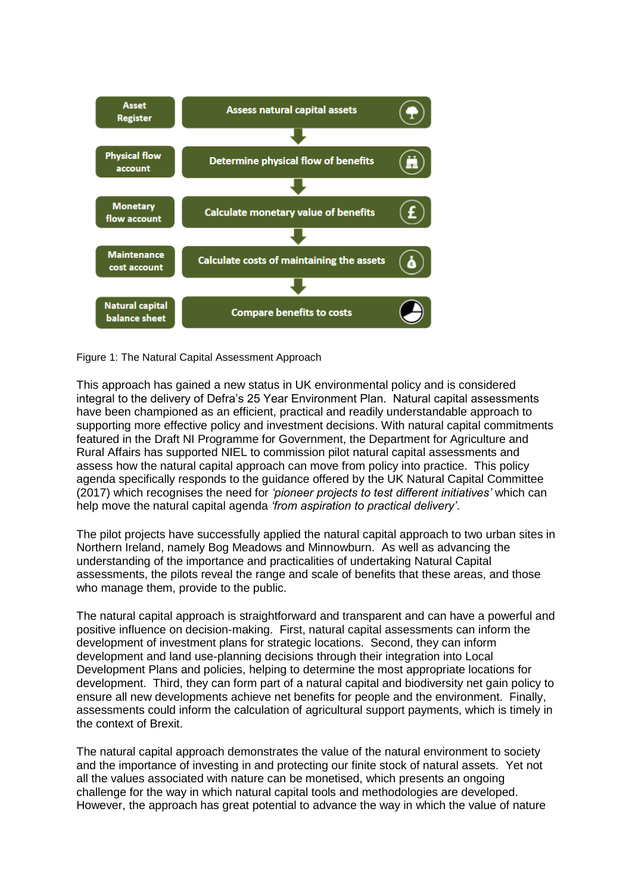

Figure 1: The Natural Capital Assessment Approach

This approach has gained a new status in UK environmental policy and is considered integral to the delivery of Defra's 25 Year Environment Plan. Natural capital assessments have been championed as an efficient, practical and readily understandable approach to supporting more effective policy and investment decisions. With natural capital commitments featured in the Draft NI Programme for Government, the Department for Agriculture and Rural Affairs has supported NIEL to commission pilot natural capital assessments and assess how the natural capital approach can move from policy into practice. This policy agenda specifically responds to the guidance offered by the UK Natural Capital Committee (2017) which recognises the need for *'pioneer projects to test different initiatives'* which can help move the natural capital agenda *'from aspiration to practical delivery'*.

The pilot projects have successfully applied the natural capital approach to two urban sites in Northern Ireland, namely Bog Meadows and Minnowburn. As well as advancing the understanding of the importance and practicalities of undertaking Natural Capital assessments, the pilots reveal the range and scale of benefits that these areas, and those who manage them, provide to the public.

The natural capital approach is straightforward and transparent and can have a powerful and positive influence on decision-making. First, natural capital assessments can inform the development of investment plans for strategic locations. Second, they can inform development and land use-planning decisions through their integration into Local Development Plans and policies, helping to determine the most appropriate locations for development. Third, they can form part of a natural capital and biodiversity net gain policy to ensure all new developments achieve net benefits for people and the environment. Finally, assessments could inform the calculation of agricultural support payments, which is timely in the context of Brexit.

The natural capital approach demonstrates the value of the natural environment to society and the importance of investing in and protecting our finite stock of natural assets. Yet not all the values associated with nature can be monetised, which presents an ongoing challenge for the way in which natural capital tools and methodologies are developed. However, the approach has great potential to advance the way in which the value of nature